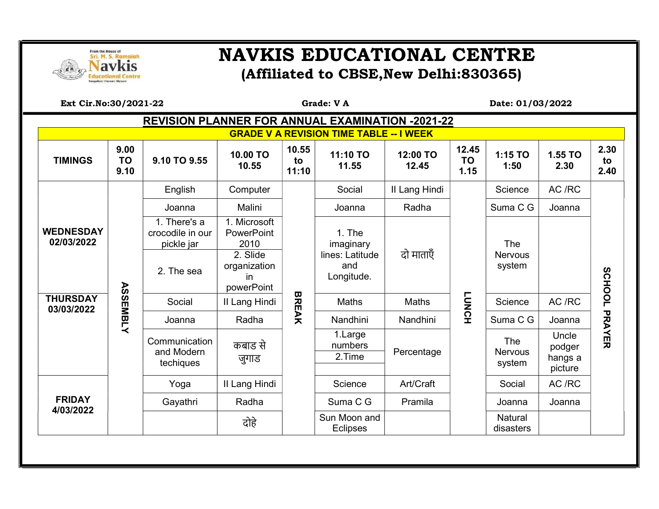

## SENS Region MAVKIS EDUCATIONAL CENTRE (Affiliated to CBSE,New Delhi:830365)

|                                                                 |                           | <b>REVISION PLANNER FOR ANNUAL EXAMINATION -2021-22</b> |                                               |                      | <b>GRADE V A REVISION TIME TABLE -- I WEEK</b> |                   |                            |                                        |                                       |                         |
|-----------------------------------------------------------------|---------------------------|---------------------------------------------------------|-----------------------------------------------|----------------------|------------------------------------------------|-------------------|----------------------------|----------------------------------------|---------------------------------------|-------------------------|
| <b>TIMINGS</b>                                                  | 9.00<br><b>TO</b><br>9.10 | 9.10 TO 9.55                                            | 10.00 TO<br>10.55                             | 10.55<br>to<br>11:10 | 11:10 TO<br>11.55                              | 12:00 TO<br>12.45 | 12.45<br><b>TO</b><br>1.15 | 1:15 TO<br>1:50                        | 1.55 TO<br>2.30                       | 2.30<br>to<br>2.40      |
| <b>WEDNESDAY</b><br>02/03/2022<br><b>THURSDAY</b><br>03/03/2022 |                           | English                                                 | Computer                                      |                      | Social                                         | II Lang Hindi     |                            | Science                                | AC /RC                                | <b>SCHOOL</b><br>PRAYER |
|                                                                 |                           | Joanna                                                  | Malini                                        |                      | Joanna                                         | Radha             |                            | Suma C G                               | Joanna                                |                         |
|                                                                 |                           | 1. There's a<br>crocodile in our<br>pickle jar          | 1. Microsoft<br>PowerPoint<br>2010            |                      | 1. The<br>imaginary                            |                   |                            | The                                    |                                       |                         |
|                                                                 |                           | 2. The sea                                              | 2. Slide<br>organization<br>in.<br>powerPoint |                      | lines: Latitude<br>and<br>Longitude.           | दो माताएँ         |                            | <b>Nervous</b><br>system               |                                       |                         |
|                                                                 | <b>ASSEMBLY</b>           | Social                                                  | II Lang Hindi                                 | <b>BREAK</b>         | <b>Maths</b>                                   | <b>Maths</b>      | <b>LUNCH</b>               | Science                                | AC /RC                                |                         |
|                                                                 |                           | Joanna                                                  | Radha                                         |                      | Nandhini                                       | Nandhini          |                            | Suma C G                               | Joanna                                |                         |
|                                                                 |                           | Communication<br>and Modern<br>techiques                | कबाड से<br>जुगाड                              |                      | 1.Large<br>numbers<br>2.Time                   | Percentage        |                            | <b>The</b><br><b>Nervous</b><br>system | Uncle<br>podger<br>hangs a<br>picture |                         |
| <b>FRIDAY</b><br>4/03/2022                                      |                           | Yoga                                                    | II Lang Hindi                                 |                      | Science                                        | Art/Craft         |                            | Social                                 | AC /RC                                |                         |
|                                                                 |                           | Gayathri                                                | Radha                                         |                      | Suma C G                                       | Pramila           |                            | Joanna                                 | Joanna                                |                         |
|                                                                 |                           |                                                         | दोहे                                          |                      | Sun Moon and<br><b>Eclipses</b>                |                   |                            | Natural<br>disasters                   |                                       |                         |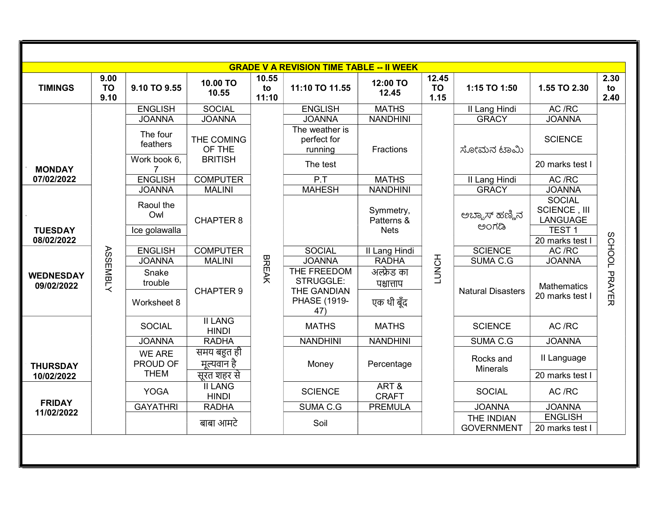|                    |                                                         |                                 |                            |                           | <b>GRADE V A REVISION TIME TABLE -- II WEEK</b> |                      |                                |                           |                           |                                |
|--------------------|---------------------------------------------------------|---------------------------------|----------------------------|---------------------------|-------------------------------------------------|----------------------|--------------------------------|---------------------------|---------------------------|--------------------------------|
| 2.30<br>to<br>2.40 | 1.55 TO 2.30                                            | 1:15 TO 1:50                    | 12.45<br><b>TO</b><br>1.15 | 12:00 TO<br>12.45         | 11:10 TO 11.55                                  | 10.55<br>to<br>11:10 | 10.00 TO<br>10.55              | 9.10 TO 9.55              | 9.00<br><b>TO</b><br>9.10 | <b>TIMINGS</b>                 |
|                    | AC /RC                                                  | II Lang Hindi                   |                            | <b>MATHS</b>              | <b>ENGLISH</b>                                  |                      | <b>SOCIAL</b>                  | <b>ENGLISH</b>            |                           |                                |
|                    | <b>JOANNA</b>                                           | <b>GRACY</b>                    |                            | <b>NANDHINI</b>           | <b>JOANNA</b>                                   |                      | <b>JOANNA</b>                  | <b>JOANNA</b>             |                           |                                |
|                    | <b>SCIENCE</b>                                          | ಸೋಮನ ಟಾಮಿ                       |                            | Fractions                 | The weather is<br>perfect for<br>running        |                      | THE COMING<br>OF THE           | The four<br>feathers      |                           |                                |
|                    | 20 marks test I                                         |                                 |                            |                           | The test                                        |                      | <b>BRITISH</b>                 | Work book 6,<br>7         |                           | <b>MONDAY</b>                  |
|                    | AC /RC                                                  | II Lang Hindi                   |                            | <b>MATHS</b>              | P.T                                             |                      | <b>COMPUTER</b>                | <b>ENGLISH</b>            |                           | 07/02/2022                     |
|                    | <b>JOANNA</b>                                           | <b>GRACY</b>                    |                            | <b>NANDHINI</b>           | <b>MAHESH</b>                                   |                      | <b>MALINI</b>                  | <b>JOANNA</b>             |                           |                                |
|                    | <b>SOCIAL</b><br><b>SCIENCE, III</b><br><b>LANGUAGE</b> | ಅಬ್ಬಾಸ್ ಹಣ್ಣಿನ<br>ಅಂಗಡಿ         |                            | Symmetry,<br>Patterns &   |                                                 |                      | <b>CHAPTER 8</b>               | Raoul the<br>Owl          |                           |                                |
|                    | TEST <sub>1</sub><br>20 marks test I                    |                                 |                            | <b>Nets</b>               |                                                 |                      |                                | Ice golawalla             |                           | <b>TUESDAY</b><br>08/02/2022   |
|                    | AC/RC                                                   | <b>SCIENCE</b>                  |                            | <b>II Lang Hindi</b>      | <b>SOCIAL</b>                                   |                      | <b>COMPUTER</b>                | <b>ENGLISH</b>            |                           |                                |
|                    | <b>JOANNA</b>                                           | <b>SUMA C.G</b>                 |                            | <b>RADHA</b>              | <b>JOANNA</b>                                   |                      | <b>MALINI</b>                  | <b>JOANNA</b>             |                           |                                |
| SCHOOL PRAYER      | Mathematics                                             | <b>Natural Disasters</b>        | LUNCH                      | अल्फ्रेड का<br>पश्चात्ताप | THE FREEDOM<br>STRUGGLE:<br>THE GANDIAN         | <b>BREAK</b>         | <b>CHAPTER 9</b>               | Snake<br>trouble          | <b>ASSEMBLY</b>           | <b>WEDNESDAY</b><br>09/02/2022 |
|                    | 20 marks test I                                         |                                 |                            | एक थी बूँद                | <b>PHASE (1919-</b><br>47)                      |                      |                                | Worksheet 8               |                           |                                |
|                    | AC /RC                                                  | <b>SCIENCE</b>                  |                            | <b>MATHS</b>              | <b>MATHS</b>                                    |                      | <b>II LANG</b><br><b>HINDI</b> | <b>SOCIAL</b>             |                           |                                |
|                    | <b>JOANNA</b>                                           | <b>SUMA C.G</b>                 |                            | <b>NANDHINI</b>           | <b>NANDHINI</b>                                 |                      | <b>RADHA</b>                   | <b>JOANNA</b>             |                           |                                |
|                    | II Language                                             | Rocks and<br><b>Minerals</b>    |                            | Percentage                | Money                                           |                      | समय बहुत ही<br>मूल्यवान है     | <b>WE ARE</b><br>PROUD OF |                           | <b>THURSDAY</b>                |
|                    | 20 marks test I                                         |                                 |                            |                           |                                                 |                      | सूरत शहर से                    | <b>THEM</b>               |                           | 10/02/2022                     |
|                    | AC /RC                                                  | <b>SOCIAL</b>                   |                            | ART&<br><b>CRAFT</b>      | <b>SCIENCE</b>                                  |                      | <b>II LANG</b><br><b>HINDI</b> | <b>YOGA</b>               |                           |                                |
|                    | <b>JOANNA</b>                                           | <b>JOANNA</b>                   |                            | <b>PREMULA</b>            | SUMA C.G                                        |                      | <b>RADHA</b>                   | <b>GAYATHRI</b>           |                           | <b>FRIDAY</b>                  |
|                    | <b>ENGLISH</b><br>20 marks test I                       | THE INDIAN<br><b>GOVERNMENT</b> |                            |                           | Soil                                            |                      | बाबा आमटे                      |                           |                           | 11/02/2022                     |